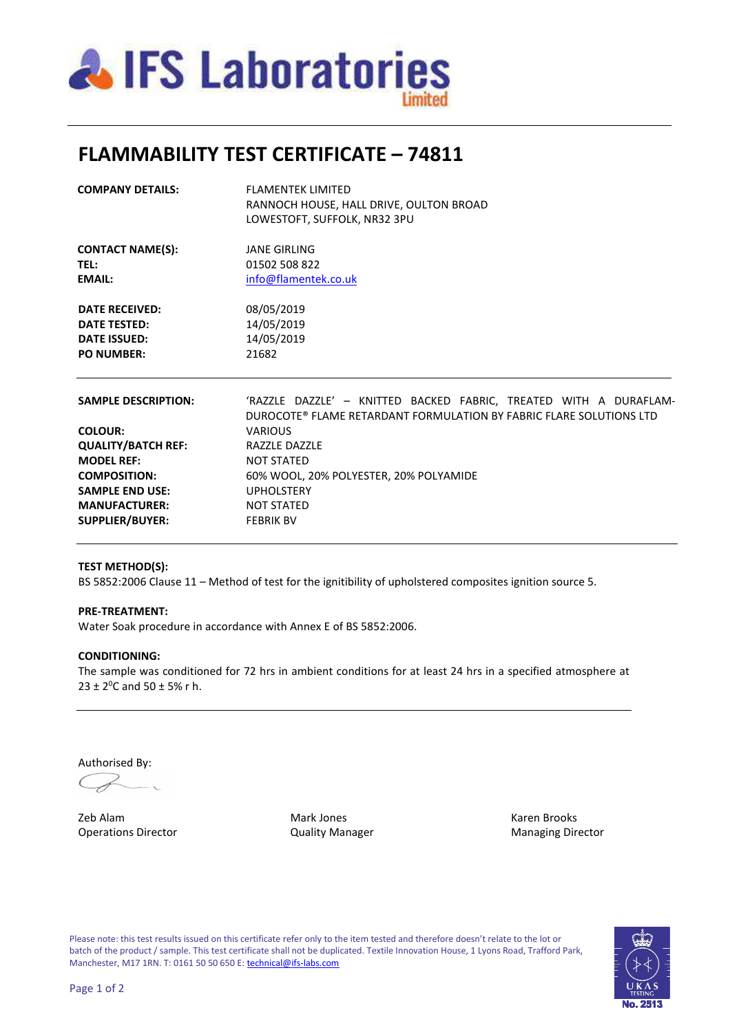

## **FLAMMABILITY TEST CERTIFICATE – 74811**

| <b>COMPANY DETAILS:</b>    | <b>FLAMENTEK LIMITED</b><br>RANNOCH HOUSE, HALL DRIVE, OULTON BROAD                                                                      |  |  |
|----------------------------|------------------------------------------------------------------------------------------------------------------------------------------|--|--|
|                            | LOWESTOFT, SUFFOLK, NR32 3PU                                                                                                             |  |  |
| <b>CONTACT NAME(S):</b>    | <b>JANE GIRLING</b>                                                                                                                      |  |  |
| TEL:                       | 01502 508 822                                                                                                                            |  |  |
| <b>EMAIL:</b>              | info@flamentek.co.uk                                                                                                                     |  |  |
| <b>DATE RECEIVED:</b>      | 08/05/2019                                                                                                                               |  |  |
| <b>DATE TESTED:</b>        | 14/05/2019                                                                                                                               |  |  |
| <b>DATE ISSUED:</b>        | 14/05/2019                                                                                                                               |  |  |
| <b>PO NUMBER:</b>          | 21682                                                                                                                                    |  |  |
| <b>SAMPLE DESCRIPTION:</b> | 'RAZZLE DAZZLE' - KNITTED BACKED FABRIC, TREATED WITH A DURAFLAM-<br>DUROCOTE® FLAME RETARDANT FORMULATION BY FABRIC FLARE SOLUTIONS LTD |  |  |
| <b>COLOUR:</b>             | <b>VARIOUS</b>                                                                                                                           |  |  |
| <b>QUALITY/BATCH REF:</b>  | <b>RAZZLE DAZZLE</b>                                                                                                                     |  |  |
| <b>MODEL REF:</b>          | <b>NOT STATED</b>                                                                                                                        |  |  |
| <b>COMPOSITION:</b>        | 60% WOOL, 20% POLYESTER, 20% POLYAMIDE                                                                                                   |  |  |
| <b>SAMPLE END USE:</b>     | <b>UPHOLSTERY</b>                                                                                                                        |  |  |
| <b>MANUFACTURER:</b>       | <b>NOT STATED</b>                                                                                                                        |  |  |
| <b>SUPPLIER/BUYER:</b>     | <b>FEBRIK BV</b>                                                                                                                         |  |  |
|                            |                                                                                                                                          |  |  |

### **TEST METHOD(S):**

BS 5852:2006 Clause 11 - Method of test for the ignitibility of upholstered composites ignition source 5.

#### **PRE-TREATMENT:**

Water Soak procedure in accordance with Annex E of BS 5852:2006.

### **CONDITIONING:**

The sample was conditioned for 72 hrs in ambient conditions for at least 24 hrs in a specified atmosphere at  $23 \pm 2^{0}$ C and  $50 \pm 5$ % r h.

Authorised By:

 $C_{\!\mathscr{F}}$ 

Zeb Alam Mark Jones Karen Brooks Operations Director Quality Manager Managing Director